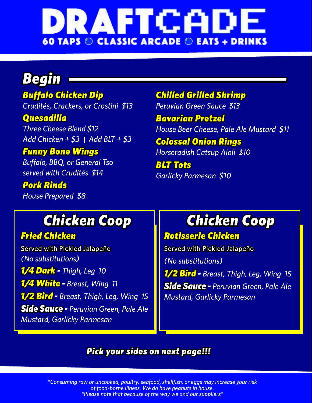

### *Begin*

*Buffalo Chicken Dip Crudités, Crackers, or Crostini \$13 Quesadilla*

*Three Cheese Blend \$12 Add Chicken + \$3 | Add BLT + \$3*

*Funny Bone Wings Buffalo, BBQ, or General Tso served with Crudités \$14*

*Pork Rinds House Prepared \$8* *Chilled Grilled Shrimp*

*Peruvian Green Sauce \$13*

*Bavarian Pretzel House Beer Cheese, Pale Ale Mustard \$11 Colossal Onion Rings Horseradish Catsup Aioli \$10*

*BLT Tots Garlicky Parmesan \$10*

### *Chicken Coop*

#### *Fried Chicken*

Served with Pickled Jalapeño *(No substitutions) 1/4 Dark - Thigh, Leg 10 1/4 White - Breast, Wing 11 1/2 Bird - Breast, Thigh, Leg, Wing 15 Side Sauce - Peruvian Green, Pale Ale Mustard, Garlicky Parmesan* 

# *Chicken Coop*

#### *Rotisserie Chicken*

Served with Pickled Jalapeño *(No substitutions) 1/2 Bird - Breast, Thigh, Leg, Wing 15 Side Sauce - Peruvian Green, Pale Ale Mustard, Garlicky Parmesan* 

#### *Pick your sides on next page!!!*

*\*Consuming raw or uncooked, poultry, seafood, shellfish, or eggs may increase your risk of food-borne illness. We do have peanuts in house. \*Please note that because of the way we and our suppliers\**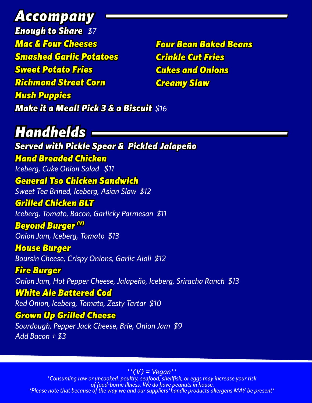*Accompany Enough to Share \$7 Mac & Four Cheeses Smashed Garlic Potatoes Sweet Potato Fries Richmond Street Corn Hush Puppies Make it a Meal! Pick 3 & a Biscuit \$16*

*Four Bean Baked Beans Crinkle Cut Fries Cukes and Onions Creamy Slaw*

### *Handhelds*

*Served with Pickle Spear & Pickled Jalapeño Hand Breaded Chicken Iceberg, Cuke Onion Salad \$11 General Tso Chicken Sandwich Sweet Tea Brined, Iceberg, Asian Slaw \$12 Grilled Chicken BLT Iceberg, Tomato, Bacon, Garlicky Parmesan \$11* **Beyond Burger<sup>(V)</sup>** *Onion Jam, Iceberg, Tomato \$13 House Burger Boursin Cheese, Crispy Onions, Garlic Aioli \$12 Fire Burger Onion Jam, Hot Pepper Cheese, Jalapeño, Iceberg, Sriracha Ranch \$13 White Ale Battered Cod Red Onion, Iceberg, Tomato, Zesty Tartar \$10 Grown Up Grilled Cheese Sourdough, Pepper Jack Cheese, Brie, Onion Jam \$9 Add Bacon + \$3*

*\*\*(V) = Vegan\*\* \*Consuming raw or uncooked, poultry, seafood, shellfish, or eggs may increase your risk of food-borne illness. We do have peanuts in house. \*Please note that because of the way we and our suppliers\*handle products allergens MAY be present\**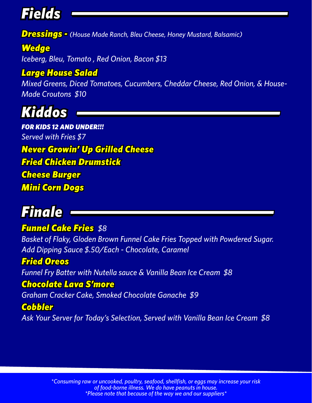## *Fields*

*Dressings - (House Made Ranch, Bleu Cheese, Honey Mustard, Balsamic)*

*Wedge Iceberg, Bleu, Tomato , Red Onion, Bacon \$13*

#### *Large House Salad*

*Mixed Greens, Diced Tomatoes, Cucumbers, Cheddar Cheese, Red Onion, & House-Made Croutons \$10*



*FOR KIDS 12 AND UNDER!!! Served with Fries \$7 Never Growin' Up Grilled Cheese Fried Chicken Drumstick Cheese Burger Mini Corn Dogs*

# *Finale*

#### *Funnel Cake Fries \$8*

*Basket of Flaky, Gloden Brown Funnel Cake Fries Topped with Powdered Sugar. Add Dipping Sauce \$.50/Each - Chocolate, Caramel*

#### *Fried Oreos*

*Funnel Fry Batter with Nutella sauce & Vanilla Bean Ice Cream \$8*

#### *Chocolate Lava S'more*

*Graham Cracker Cake, Smoked Chocolate Ganache \$9*

#### *Cobbler*

*Ask Your Server for Today's Selection, Served with Vanilla Bean Ice Cream \$8*

*\*Consuming raw or uncooked, poultry, seafood, shellfish, or eggs may increase your risk of food-borne illness. We do have peanuts in house. \*Please note that because of the way we and our suppliers\**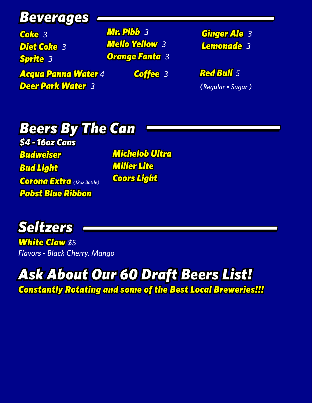### *Beverages*

*Coke 3 Diet Coke 3 Sprite 3*

 *Acqua Panna Water 4 Deer Park Water 3*

*Mr. Pibb 3 Mello Yellow 3 Orange Fanta 3*

*Ginger Ale 3 Lemonade 3*

*Coffee 3 Red Bull 5 (Regular • Sugar )*

#### *Beers By The Can \$4 - 16oz Cans Budweiser*

*Bud Light Corona Extra (12oz Bottle) Pabst Blue Ribbon* 

*Michelob Ultra Miller Lite Coors Light* 



*White Claw \$5 Flavors - Black Cherry, Mango* 

# *Ask About Our 60 Draft Beers List!*

*Constantly Rotating and some of the Best Local Breweries!!!*